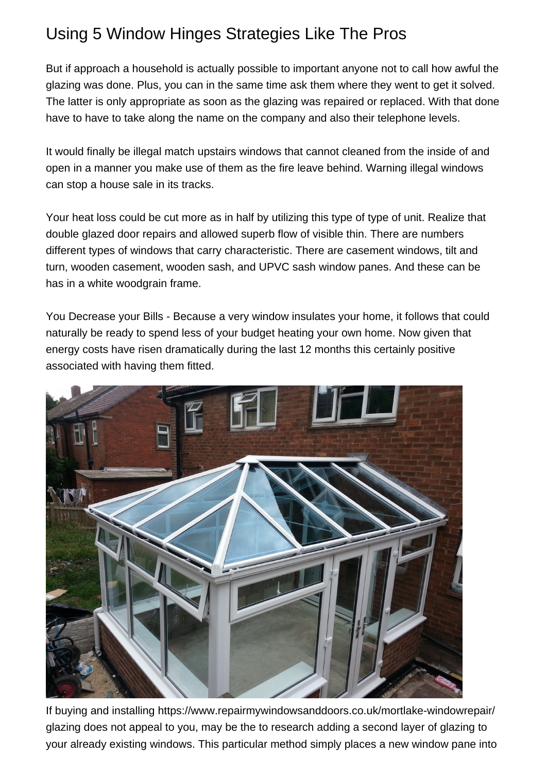## Using 5 Window Hinges Strategies Like The Pros

But if approach a household is actually possible to important anyone not to call how awful the glazing was done. Plus, you can in the same time ask them where they went to get it solved. The latter is only appropriate as soon as the glazing was repaired or replaced. With that done have to have to take along the name on the company and also their telephone levels.

It would finally be illegal match upstairs windows that cannot cleaned from the inside of and open in a manner you make use of them as the fire leave behind. Warning illegal windows can stop a house sale in its tracks.

Your heat loss could be cut more as in half by utilizing this type of type of unit. Realize that [double glazed door repairs](https://www.repairmywindowsanddoors.co.uk/peckhamrye-windowrepair/) and allowed superb flow of visible thin. There are numbers different types of windows that carry characteristic. There are casement windows, tilt and turn, wooden casement, wooden sash, and UPVC sash window panes. And these can be has in a white woodgrain frame.

You Decrease your Bills - Because a very window insulates your home, it follows that could naturally be ready to spend less of your budget heating your own home. Now given that energy costs have risen dramatically during the last 12 months this certainly positive associated with having them fitted.



If buying and installing<https://www.repairmywindowsanddoors.co.uk/mortlake-windowrepair/> glazing does not appeal to you, may be the to research adding a second layer of glazing to your already existing windows. This particular method simply places a new window pane into